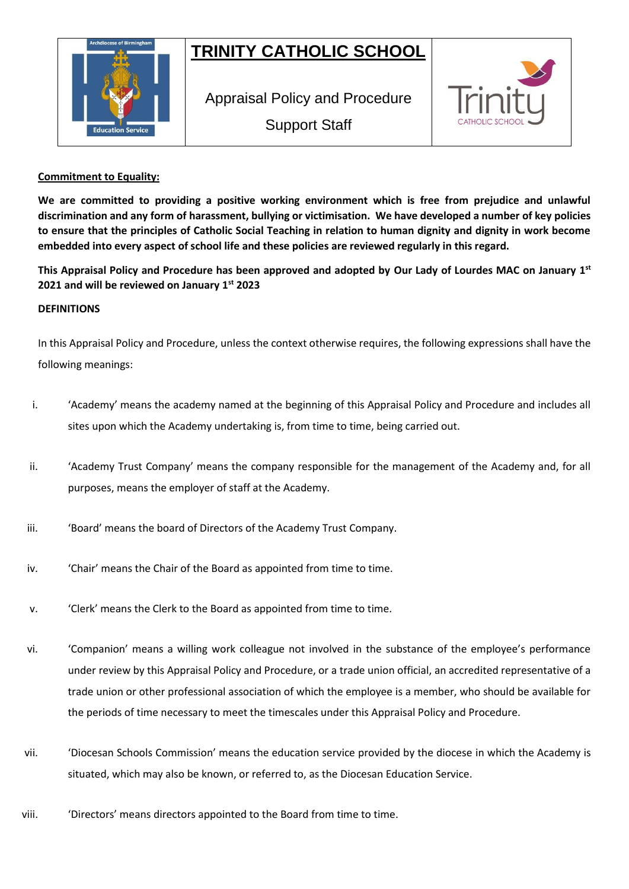# **TRINITY CATHOLIC SCHOOL**



Appraisal Policy and Procedure Support Staff



# **Commitment to Equality:**

**We are committed to providing a positive working environment which is free from prejudice and unlawful discrimination and any form of harassment, bullying or victimisation. We have developed a number of key policies to ensure that the principles of Catholic Social Teaching in relation to human dignity and dignity in work become embedded into every aspect of school life and these policies are reviewed regularly in this regard.**

**This Appraisal Policy and Procedure has been approved and adopted by Our Lady of Lourdes MAC on January 1st 2021 and will be reviewed on January 1st 2023**

# **DEFINITIONS**

In this Appraisal Policy and Procedure, unless the context otherwise requires, the following expressions shall have the following meanings:

- i. 'Academy' means the academy named at the beginning of this Appraisal Policy and Procedure and includes all sites upon which the Academy undertaking is, from time to time, being carried out.
- ii. 'Academy Trust Company' means the company responsible for the management of the Academy and, for all purposes, means the employer of staff at the Academy.
- iii. 'Soard' means the board of Directors of the Academy Trust Company.
- iv. 'Chair' means the Chair of the Board as appointed from time to time.
- v. 'Clerk' means the Clerk to the Board as appointed from time to time.
- vi. 'Companion' means a willing work colleague not involved in the substance of the employee's performance under review by this Appraisal Policy and Procedure, or a trade union official, an accredited representative of a trade union or other professional association of which the employee is a member, who should be available for the periods of time necessary to meet the timescales under this Appraisal Policy and Procedure.
- vii. 'Diocesan Schools Commission' means the education service provided by the diocese in which the Academy is situated, which may also be known, or referred to, as the Diocesan Education Service.
- viii. 'Directors' means directors appointed to the Board from time to time.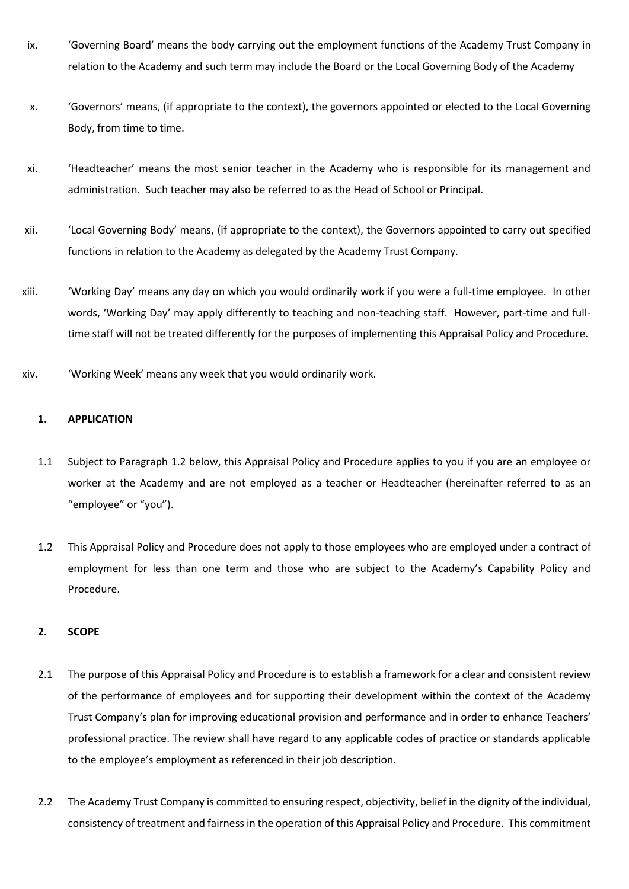- ix. 'Governing Board' means the body carrying out the employment functions of the Academy Trust Company in relation to the Academy and such term may include the Board or the Local Governing Body of the Academy
- x. 'Governors' means, (if appropriate to the context), the governors appointed or elected to the Local Governing Body, from time to time.
- xi. 'Headteacher' means the most senior teacher in the Academy who is responsible for its management and administration. Such teacher may also be referred to as the Head of School or Principal.
- xii. 'Local Governing Body' means, (if appropriate to the context), the Governors appointed to carry out specified functions in relation to the Academy as delegated by the Academy Trust Company.
- xiii. 'Working Day' means any day on which you would ordinarily work if you were a full-time employee. In other words, 'Working Day' may apply differently to teaching and non-teaching staff. However, part-time and fulltime staff will not be treated differently for the purposes of implementing this Appraisal Policy and Procedure.
- xiv. 'Working Week' means any week that you would ordinarily work.

# **1. APPLICATION**

- 1.1 Subject to Paragraph 1.2 below, this Appraisal Policy and Procedure applies to you if you are an employee or worker at the Academy and are not employed as a teacher or Headteacher (hereinafter referred to as an "employee" or "you").
- 1.2 This Appraisal Policy and Procedure does not apply to those employees who are employed under a contract of employment for less than one term and those who are subject to the Academy's Capability Policy and Procedure.

# **2. SCOPE**

- 2.1 The purpose of this Appraisal Policy and Procedure is to establish a framework for a clear and consistent review of the performance of employees and for supporting their development within the context of the Academy Trust Company's plan for improving educational provision and performance and in order to enhance Teachers' professional practice. The review shall have regard to any applicable codes of practice or standards applicable to the employee's employment as referenced in their job description.
- 2.2 The Academy Trust Company is committed to ensuring respect, objectivity, belief in the dignity of the individual, consistency of treatment and fairness in the operation of this Appraisal Policy and Procedure. This commitment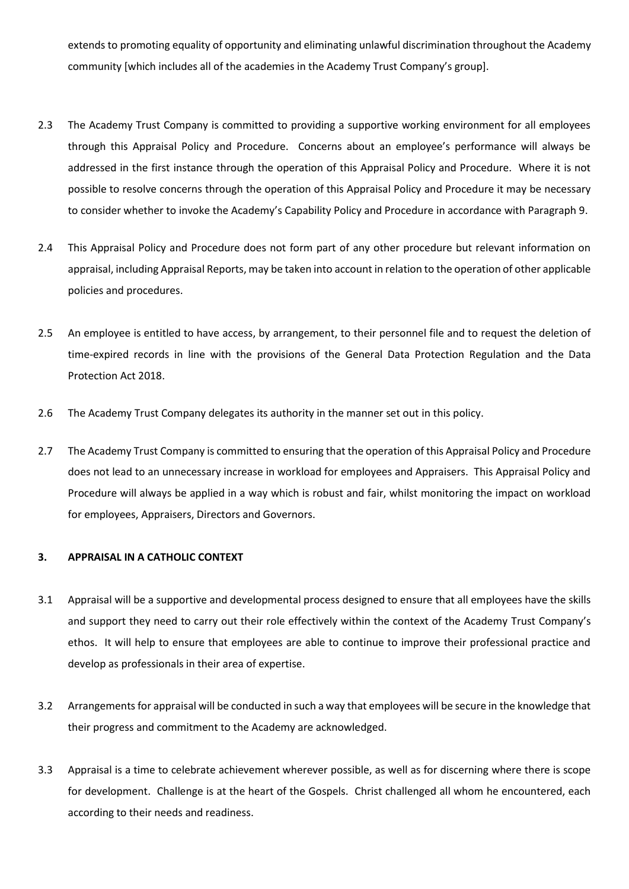extends to promoting equality of opportunity and eliminating unlawful discrimination throughout the Academy community [which includes all of the academies in the Academy Trust Company's group].

- 2.3 The Academy Trust Company is committed to providing a supportive working environment for all employees through this Appraisal Policy and Procedure. Concerns about an employee's performance will always be addressed in the first instance through the operation of this Appraisal Policy and Procedure. Where it is not possible to resolve concerns through the operation of this Appraisal Policy and Procedure it may be necessary to consider whether to invoke the Academy's Capability Policy and Procedure in accordance with Paragraph 9.
- 2.4 This Appraisal Policy and Procedure does not form part of any other procedure but relevant information on appraisal, including Appraisal Reports, may be taken into account in relation to the operation of other applicable policies and procedures.
- 2.5 An employee is entitled to have access, by arrangement, to their personnel file and to request the deletion of time-expired records in line with the provisions of the General Data Protection Regulation and the Data Protection Act 2018.
- 2.6 The Academy Trust Company delegates its authority in the manner set out in this policy.
- 2.7 The Academy Trust Company is committed to ensuring that the operation of this Appraisal Policy and Procedure does not lead to an unnecessary increase in workload for employees and Appraisers. This Appraisal Policy and Procedure will always be applied in a way which is robust and fair, whilst monitoring the impact on workload for employees, Appraisers, Directors and Governors.

## **3. APPRAISAL IN A CATHOLIC CONTEXT**

- 3.1 Appraisal will be a supportive and developmental process designed to ensure that all employees have the skills and support they need to carry out their role effectively within the context of the Academy Trust Company's ethos. It will help to ensure that employees are able to continue to improve their professional practice and develop as professionals in their area of expertise.
- 3.2 Arrangements for appraisal will be conducted in such a way that employees will be secure in the knowledge that their progress and commitment to the Academy are acknowledged.
- 3.3 Appraisal is a time to celebrate achievement wherever possible, as well as for discerning where there is scope for development. Challenge is at the heart of the Gospels. Christ challenged all whom he encountered, each according to their needs and readiness.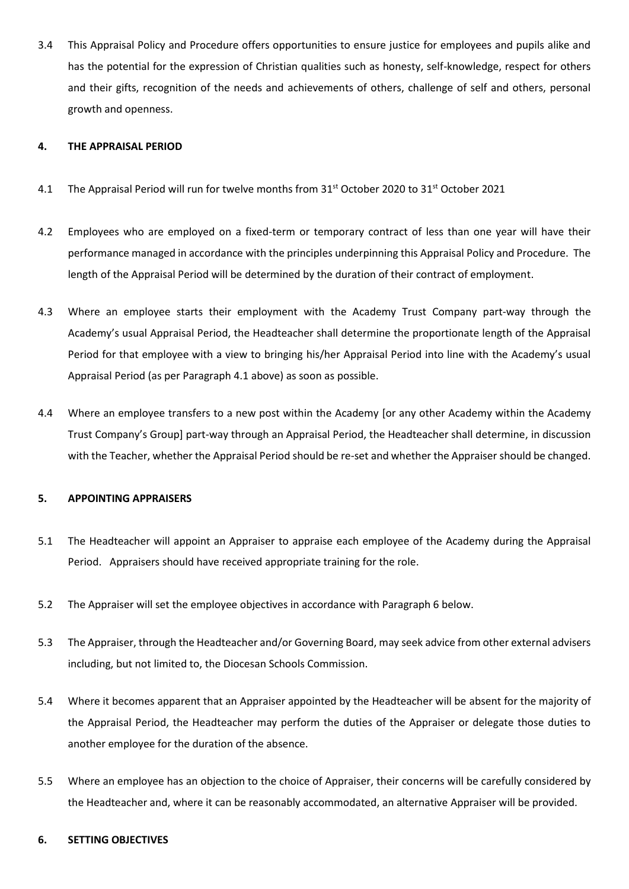3.4 This Appraisal Policy and Procedure offers opportunities to ensure justice for employees and pupils alike and has the potential for the expression of Christian qualities such as honesty, self-knowledge, respect for others and their gifts, recognition of the needs and achievements of others, challenge of self and others, personal growth and openness.

## **4. THE APPRAISAL PERIOD**

- 4.1 The Appraisal Period will run for twelve months from 31<sup>st</sup> October 2020 to 31<sup>st</sup> October 2021
- 4.2 Employees who are employed on a fixed-term or temporary contract of less than one year will have their performance managed in accordance with the principles underpinning this Appraisal Policy and Procedure. The length of the Appraisal Period will be determined by the duration of their contract of employment.
- 4.3 Where an employee starts their employment with the Academy Trust Company part-way through the Academy's usual Appraisal Period, the Headteacher shall determine the proportionate length of the Appraisal Period for that employee with a view to bringing his/her Appraisal Period into line with the Academy's usual Appraisal Period (as per Paragraph 4.1 above) as soon as possible.
- 4.4 Where an employee transfers to a new post within the Academy [or any other Academy within the Academy Trust Company's Group] part-way through an Appraisal Period, the Headteacher shall determine, in discussion with the Teacher, whether the Appraisal Period should be re-set and whether the Appraiser should be changed.

## **5. APPOINTING APPRAISERS**

- 5.1 The Headteacher will appoint an Appraiser to appraise each employee of the Academy during the Appraisal Period. Appraisers should have received appropriate training for the role.
- 5.2 The Appraiser will set the employee objectives in accordance with Paragraph 6 below.
- 5.3 The Appraiser, through the Headteacher and/or Governing Board, may seek advice from other external advisers including, but not limited to, the Diocesan Schools Commission.
- 5.4 Where it becomes apparent that an Appraiser appointed by the Headteacher will be absent for the majority of the Appraisal Period, the Headteacher may perform the duties of the Appraiser or delegate those duties to another employee for the duration of the absence.
- 5.5 Where an employee has an objection to the choice of Appraiser, their concerns will be carefully considered by the Headteacher and, where it can be reasonably accommodated, an alternative Appraiser will be provided.

## **6. SETTING OBJECTIVES**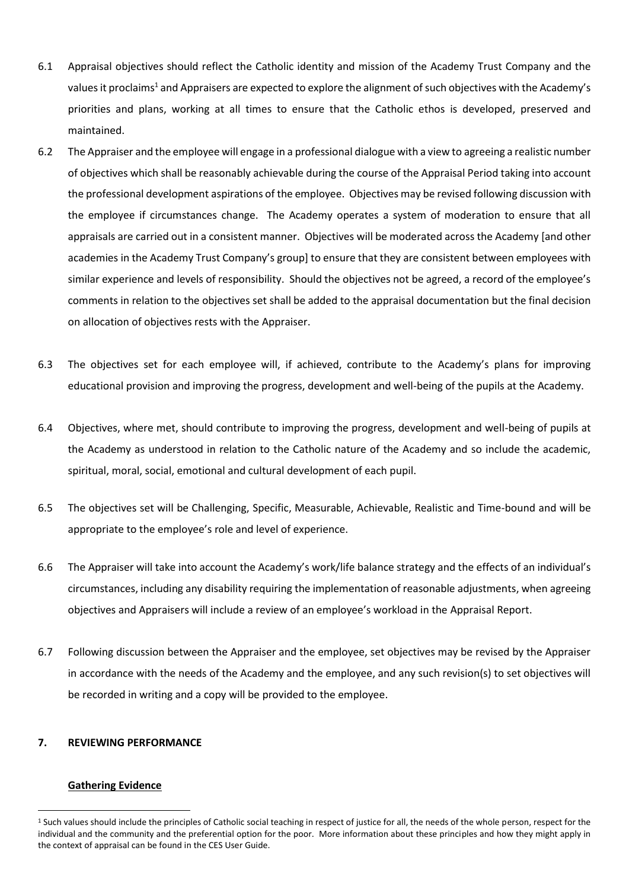- 6.1 Appraisal objectives should reflect the Catholic identity and mission of the Academy Trust Company and the values it proclaims<sup>1</sup> and Appraisers are expected to explore the alignment of such objectives with the Academy's priorities and plans, working at all times to ensure that the Catholic ethos is developed, preserved and maintained.
- 6.2 The Appraiser and the employee will engage in a professional dialogue with a view to agreeing a realistic number of objectives which shall be reasonably achievable during the course of the Appraisal Period taking into account the professional development aspirations of the employee. Objectives may be revised following discussion with the employee if circumstances change. The Academy operates a system of moderation to ensure that all appraisals are carried out in a consistent manner. Objectives will be moderated across the Academy [and other academies in the Academy Trust Company's group] to ensure that they are consistent between employees with similar experience and levels of responsibility. Should the objectives not be agreed, a record of the employee's comments in relation to the objectives set shall be added to the appraisal documentation but the final decision on allocation of objectives rests with the Appraiser.
- 6.3 The objectives set for each employee will, if achieved, contribute to the Academy's plans for improving educational provision and improving the progress, development and well-being of the pupils at the Academy.
- 6.4 Objectives, where met, should contribute to improving the progress, development and well-being of pupils at the Academy as understood in relation to the Catholic nature of the Academy and so include the academic, spiritual, moral, social, emotional and cultural development of each pupil.
- 6.5 The objectives set will be Challenging, Specific, Measurable, Achievable, Realistic and Time-bound and will be appropriate to the employee's role and level of experience.
- 6.6 The Appraiser will take into account the Academy's work/life balance strategy and the effects of an individual's circumstances, including any disability requiring the implementation of reasonable adjustments, when agreeing objectives and Appraisers will include a review of an employee's workload in the Appraisal Report.
- 6.7 Following discussion between the Appraiser and the employee, set objectives may be revised by the Appraiser in accordance with the needs of the Academy and the employee, and any such revision(s) to set objectives will be recorded in writing and a copy will be provided to the employee.

## **7. REVIEWING PERFORMANCE**

#### **Gathering Evidence**

<sup>&</sup>lt;sup>1</sup> Such values should include the principles of Catholic social teaching in respect of justice for all, the needs of the whole person, respect for the individual and the community and the preferential option for the poor. More information about these principles and how they might apply in the context of appraisal can be found in the CES User Guide.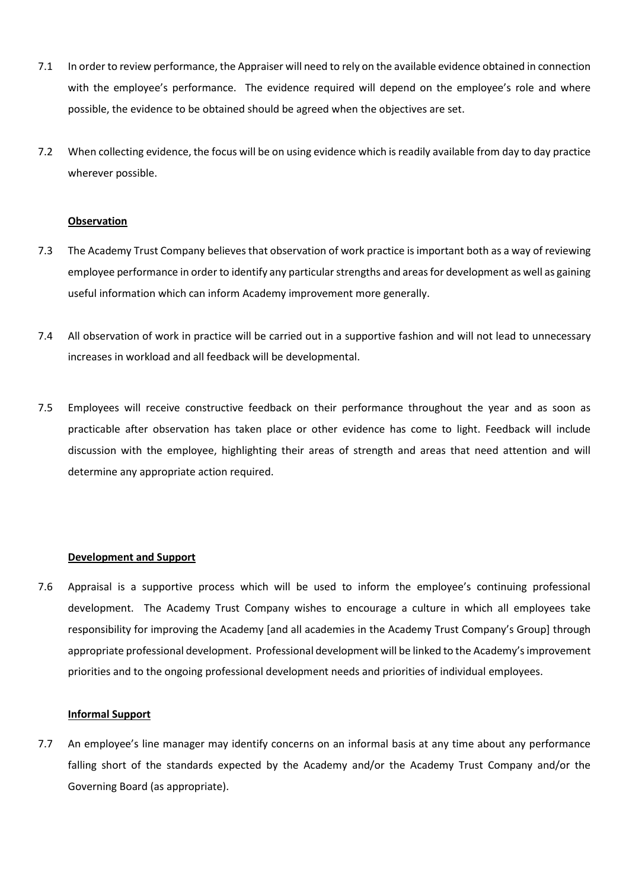- 7.1 In order to review performance, the Appraiser will need to rely on the available evidence obtained in connection with the employee's performance. The evidence required will depend on the employee's role and where possible, the evidence to be obtained should be agreed when the objectives are set.
- 7.2 When collecting evidence, the focus will be on using evidence which is readily available from day to day practice wherever possible.

#### **Observation**

- 7.3 The Academy Trust Company believes that observation of work practice is important both as a way of reviewing employee performance in order to identify any particular strengths and areas for development as well as gaining useful information which can inform Academy improvement more generally.
- 7.4 All observation of work in practice will be carried out in a supportive fashion and will not lead to unnecessary increases in workload and all feedback will be developmental.
- 7.5 Employees will receive constructive feedback on their performance throughout the year and as soon as practicable after observation has taken place or other evidence has come to light. Feedback will include discussion with the employee, highlighting their areas of strength and areas that need attention and will determine any appropriate action required.

#### **Development and Support**

7.6 Appraisal is a supportive process which will be used to inform the employee's continuing professional development. The Academy Trust Company wishes to encourage a culture in which all employees take responsibility for improving the Academy [and all academies in the Academy Trust Company's Group] through appropriate professional development. Professional development will be linked to the Academy's improvement priorities and to the ongoing professional development needs and priorities of individual employees.

#### **Informal Support**

7.7 An employee's line manager may identify concerns on an informal basis at any time about any performance falling short of the standards expected by the Academy and/or the Academy Trust Company and/or the Governing Board (as appropriate).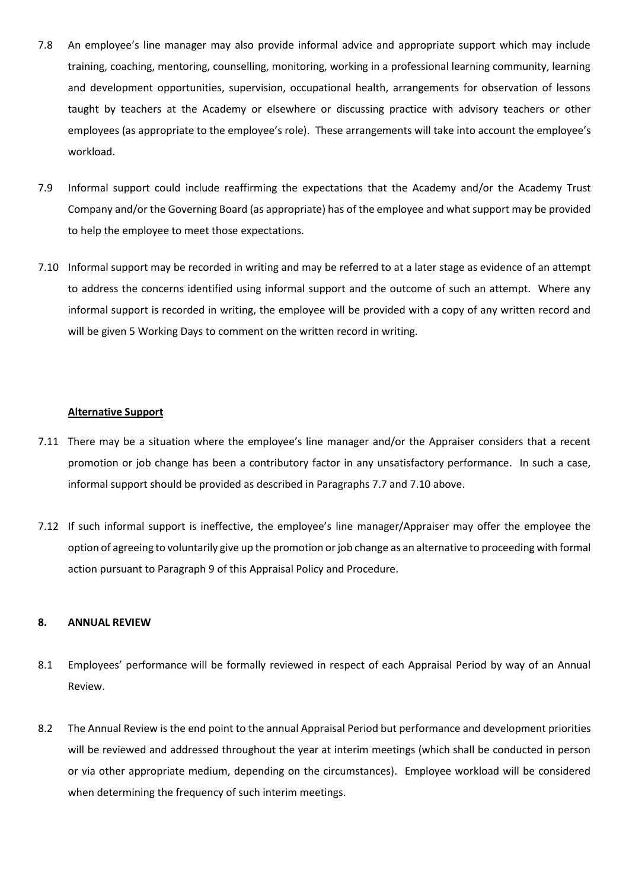- 7.8 An employee's line manager may also provide informal advice and appropriate support which may include training, coaching, mentoring, counselling, monitoring, working in a professional learning community, learning and development opportunities, supervision, occupational health, arrangements for observation of lessons taught by teachers at the Academy or elsewhere or discussing practice with advisory teachers or other employees (as appropriate to the employee's role). These arrangements will take into account the employee's workload.
- 7.9 Informal support could include reaffirming the expectations that the Academy and/or the Academy Trust Company and/or the Governing Board (as appropriate) has of the employee and what support may be provided to help the employee to meet those expectations.
- 7.10 Informal support may be recorded in writing and may be referred to at a later stage as evidence of an attempt to address the concerns identified using informal support and the outcome of such an attempt. Where any informal support is recorded in writing, the employee will be provided with a copy of any written record and will be given 5 Working Days to comment on the written record in writing.

## **Alternative Support**

- 7.11 There may be a situation where the employee's line manager and/or the Appraiser considers that a recent promotion or job change has been a contributory factor in any unsatisfactory performance. In such a case, informal support should be provided as described in Paragraphs 7.7 and 7.10 above.
- 7.12 If such informal support is ineffective, the employee's line manager/Appraiser may offer the employee the option of agreeing to voluntarily give up the promotion or job change as an alternative to proceeding with formal action pursuant to Paragraph 9 of this Appraisal Policy and Procedure.

#### **8. ANNUAL REVIEW**

- 8.1 Employees' performance will be formally reviewed in respect of each Appraisal Period by way of an Annual Review.
- 8.2 The Annual Review is the end point to the annual Appraisal Period but performance and development priorities will be reviewed and addressed throughout the year at interim meetings (which shall be conducted in person or via other appropriate medium, depending on the circumstances). Employee workload will be considered when determining the frequency of such interim meetings.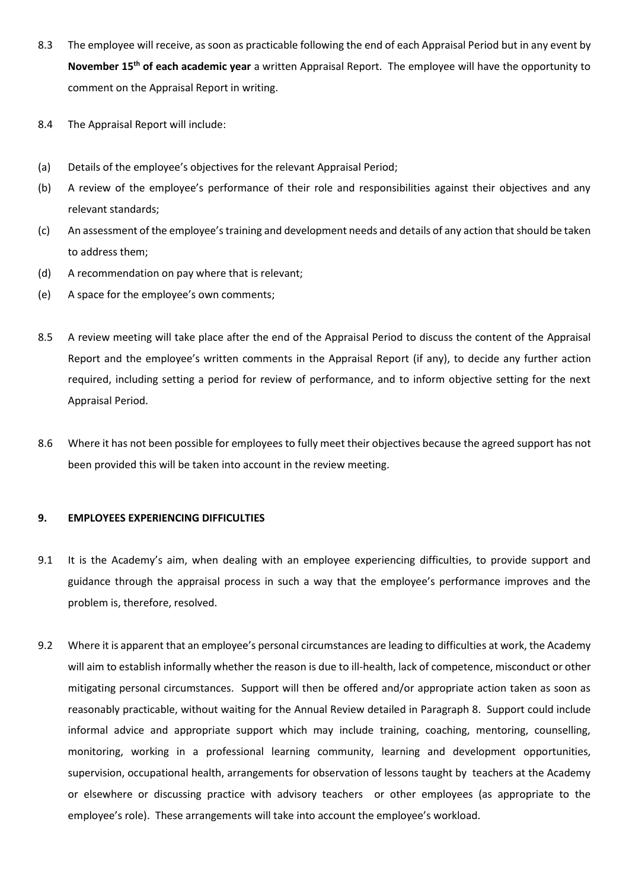- 8.3 The employee will receive, as soon as practicable following the end of each Appraisal Period but in any event by **November 15th of each academic year** a written Appraisal Report. The employee will have the opportunity to comment on the Appraisal Report in writing.
- 8.4 The Appraisal Report will include:
- (a) Details of the employee's objectives for the relevant Appraisal Period;
- (b) A review of the employee's performance of their role and responsibilities against their objectives and any relevant standards;
- (c) An assessment of the employee's training and development needs and details of any action that should be taken to address them;
- (d) A recommendation on pay where that is relevant;
- (e) A space for the employee's own comments;
- 8.5 A review meeting will take place after the end of the Appraisal Period to discuss the content of the Appraisal Report and the employee's written comments in the Appraisal Report (if any), to decide any further action required, including setting a period for review of performance, and to inform objective setting for the next Appraisal Period.
- 8.6 Where it has not been possible for employees to fully meet their objectives because the agreed support has not been provided this will be taken into account in the review meeting.

## **9. EMPLOYEES EXPERIENCING DIFFICULTIES**

- 9.1 It is the Academy's aim, when dealing with an employee experiencing difficulties, to provide support and guidance through the appraisal process in such a way that the employee's performance improves and the problem is, therefore, resolved.
- 9.2 Where it is apparent that an employee's personal circumstances are leading to difficulties at work, the Academy will aim to establish informally whether the reason is due to ill-health, lack of competence, misconduct or other mitigating personal circumstances. Support will then be offered and/or appropriate action taken as soon as reasonably practicable, without waiting for the Annual Review detailed in Paragraph 8. Support could include informal advice and appropriate support which may include training, coaching, mentoring, counselling, monitoring, working in a professional learning community, learning and development opportunities, supervision, occupational health, arrangements for observation of lessons taught by teachers at the Academy or elsewhere or discussing practice with advisory teachers or other employees (as appropriate to the employee's role). These arrangements will take into account the employee's workload.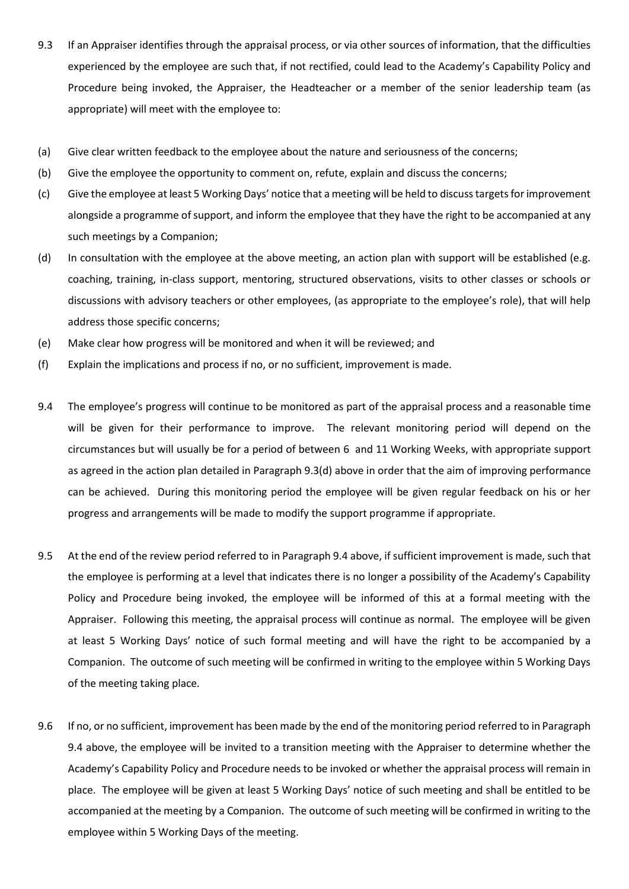- 9.3 If an Appraiser identifies through the appraisal process, or via other sources of information, that the difficulties experienced by the employee are such that, if not rectified, could lead to the Academy's Capability Policy and Procedure being invoked, the Appraiser, the Headteacher or a member of the senior leadership team (as appropriate) will meet with the employee to:
- (a) Give clear written feedback to the employee about the nature and seriousness of the concerns;
- (b) Give the employee the opportunity to comment on, refute, explain and discuss the concerns;
- (c) Give the employee at least 5 Working Days' notice that a meeting will be held to discuss targets for improvement alongside a programme of support, and inform the employee that they have the right to be accompanied at any such meetings by a Companion;
- (d) In consultation with the employee at the above meeting, an action plan with support will be established (e.g. coaching, training, in-class support, mentoring, structured observations, visits to other classes or schools or discussions with advisory teachers or other employees, (as appropriate to the employee's role), that will help address those specific concerns;
- (e) Make clear how progress will be monitored and when it will be reviewed; and
- (f) Explain the implications and process if no, or no sufficient, improvement is made.
- 9.4 The employee's progress will continue to be monitored as part of the appraisal process and a reasonable time will be given for their performance to improve. The relevant monitoring period will depend on the circumstances but will usually be for a period of between 6 and 11 Working Weeks, with appropriate support as agreed in the action plan detailed in Paragraph 9.3(d) above in order that the aim of improving performance can be achieved. During this monitoring period the employee will be given regular feedback on his or her progress and arrangements will be made to modify the support programme if appropriate.
- 9.5 At the end of the review period referred to in Paragraph 9.4 above, if sufficient improvement is made, such that the employee is performing at a level that indicates there is no longer a possibility of the Academy's Capability Policy and Procedure being invoked, the employee will be informed of this at a formal meeting with the Appraiser. Following this meeting, the appraisal process will continue as normal. The employee will be given at least 5 Working Days' notice of such formal meeting and will have the right to be accompanied by a Companion. The outcome of such meeting will be confirmed in writing to the employee within 5 Working Days of the meeting taking place.
- 9.6 If no, or no sufficient, improvement has been made by the end of the monitoring period referred to in Paragraph 9.4 above, the employee will be invited to a transition meeting with the Appraiser to determine whether the Academy's Capability Policy and Procedure needs to be invoked or whether the appraisal process will remain in place. The employee will be given at least 5 Working Days' notice of such meeting and shall be entitled to be accompanied at the meeting by a Companion. The outcome of such meeting will be confirmed in writing to the employee within 5 Working Days of the meeting.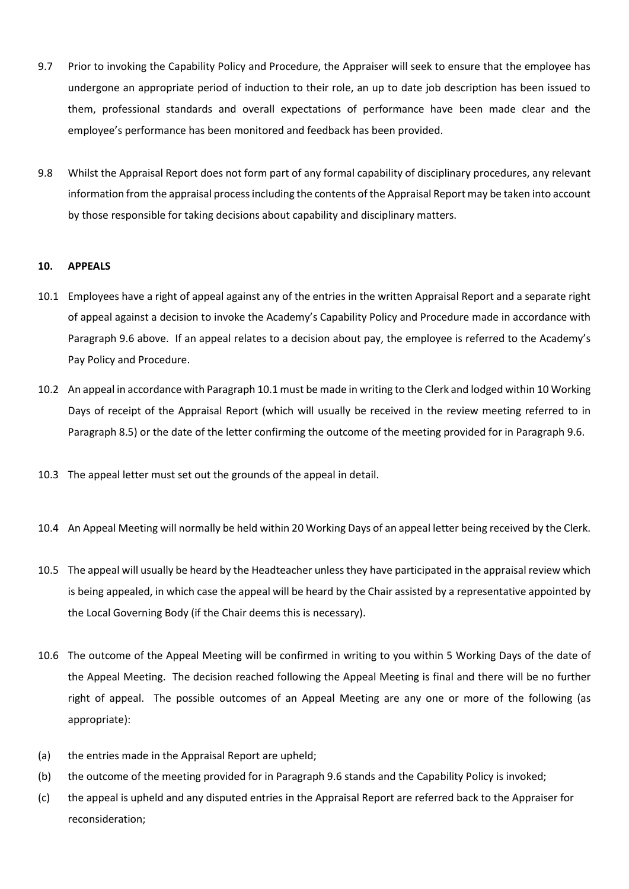- 9.7 Prior to invoking the Capability Policy and Procedure, the Appraiser will seek to ensure that the employee has undergone an appropriate period of induction to their role, an up to date job description has been issued to them, professional standards and overall expectations of performance have been made clear and the employee's performance has been monitored and feedback has been provided.
- 9.8 Whilst the Appraisal Report does not form part of any formal capability of disciplinary procedures, any relevant information from the appraisal process including the contents of the Appraisal Report may be taken into account by those responsible for taking decisions about capability and disciplinary matters.

## **10. APPEALS**

- 10.1 Employees have a right of appeal against any of the entries in the written Appraisal Report and a separate right of appeal against a decision to invoke the Academy's Capability Policy and Procedure made in accordance with Paragraph 9.6 above. If an appeal relates to a decision about pay, the employee is referred to the Academy's Pay Policy and Procedure.
- 10.2 An appeal in accordance with Paragraph 10.1 must be made in writing to the Clerk and lodged within 10 Working Days of receipt of the Appraisal Report (which will usually be received in the review meeting referred to in Paragraph 8.5) or the date of the letter confirming the outcome of the meeting provided for in Paragraph 9.6.
- 10.3 The appeal letter must set out the grounds of the appeal in detail.
- 10.4 An Appeal Meeting will normally be held within 20 Working Days of an appeal letter being received by the Clerk.
- 10.5 The appeal will usually be heard by the Headteacher unless they have participated in the appraisal review which is being appealed, in which case the appeal will be heard by the Chair assisted by a representative appointed by the Local Governing Body (if the Chair deems this is necessary).
- 10.6 The outcome of the Appeal Meeting will be confirmed in writing to you within 5 Working Days of the date of the Appeal Meeting. The decision reached following the Appeal Meeting is final and there will be no further right of appeal. The possible outcomes of an Appeal Meeting are any one or more of the following (as appropriate):
- (a) the entries made in the Appraisal Report are upheld;
- (b) the outcome of the meeting provided for in Paragraph 9.6 stands and the Capability Policy is invoked;
- (c) the appeal is upheld and any disputed entries in the Appraisal Report are referred back to the Appraiser for reconsideration;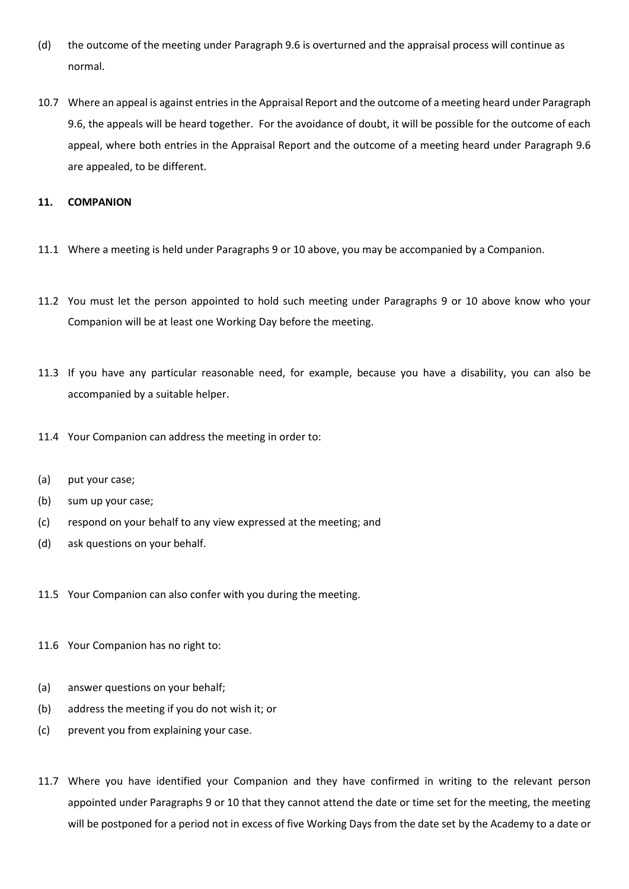- (d) the outcome of the meeting under Paragraph 9.6 is overturned and the appraisal process will continue as normal.
- 10.7 Where an appeal is against entries in the Appraisal Report and the outcome of a meeting heard under Paragraph 9.6, the appeals will be heard together. For the avoidance of doubt, it will be possible for the outcome of each appeal, where both entries in the Appraisal Report and the outcome of a meeting heard under Paragraph 9.6 are appealed, to be different.

## **11. COMPANION**

- 11.1 Where a meeting is held under Paragraphs 9 or 10 above, you may be accompanied by a Companion.
- 11.2 You must let the person appointed to hold such meeting under Paragraphs 9 or 10 above know who your Companion will be at least one Working Day before the meeting.
- 11.3 If you have any particular reasonable need, for example, because you have a disability, you can also be accompanied by a suitable helper.
- 11.4 Your Companion can address the meeting in order to:
- (a) put your case;
- (b) sum up your case;
- (c) respond on your behalf to any view expressed at the meeting; and
- (d) ask questions on your behalf.
- 11.5 Your Companion can also confer with you during the meeting.
- 11.6 Your Companion has no right to:
- (a) answer questions on your behalf;
- (b) address the meeting if you do not wish it; or
- (c) prevent you from explaining your case.
- 11.7 Where you have identified your Companion and they have confirmed in writing to the relevant person appointed under Paragraphs 9 or 10 that they cannot attend the date or time set for the meeting, the meeting will be postponed for a period not in excess of five Working Days from the date set by the Academy to a date or